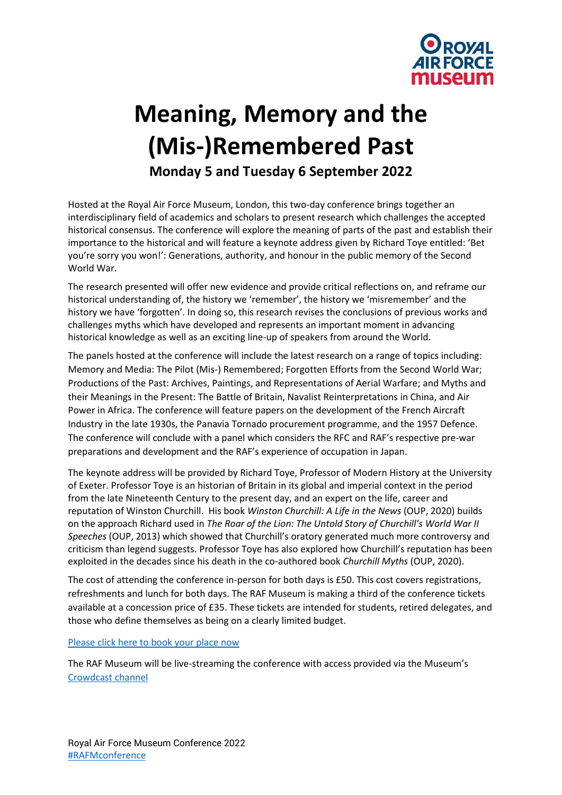

# **Meaning, Memory and the (Mis-)Remembered Past Monday 5 and Tuesday 6 September 2022**

Hosted at the Royal Air Force Museum, London, this two-day conference brings together an interdisciplinary field of academics and scholars to present research which challenges the accepted historical consensus. The conference will explore the meaning of parts of the past and establish their importance to the historical and will feature a keynote address given by Richard Toye entitled: 'Bet you're sorry you won!': Generations, authority, and honour in the public memory of the Second World War.

The research presented will offer new evidence and provide critical reflections on, and reframe our historical understanding of, the history we 'remember', the history we 'misremember' and the history we have 'forgotten'. In doing so, this research revises the conclusions of previous works and challenges myths which have developed and represents an important moment in advancing historical knowledge as well as an exciting line-up of speakers from around the World.

The panels hosted at the conference will include the latest research on a range of topics including: Memory and Media: The Pilot (Mis-) Remembered; Forgotten Efforts from the Second World War; Productions of the Past: Archives, Paintings, and Representations of Aerial Warfare; and Myths and their Meanings in the Present: The Battle of Britain, Navalist Reinterpretations in China, and Air Power in Africa. The conference will feature papers on the development of the French Aircraft Industry in the late 1930s, the Panavia Tornado procurement programme, and the 1957 Defence. The conference will conclude with a panel which considers the RFC and RAF's respective pre-war preparations and development and the RAF's experience of occupation in Japan.

The keynote address will be provided by Richard Toye, Professor of Modern History at the University of Exeter. Professor Toye is an historian of Britain in its global and imperial context in the period from the late Nineteenth Century to the present day, and an expert on the life, career and reputation of Winston Churchill. His book *Winston Churchill: A Life in the News* (OUP, 2020) builds on the approach Richard used in *The Roar of the Lion: The Untold Story of Churchill's World War II Speeches* (OUP, 2013) which showed that Churchill's oratory generated much more controversy and criticism than legend suggests. Professor Toye has also explored how Churchill's reputation has been exploited in the decades since his death in the co-authored book *Churchill Myths* (OUP, 2020).

The cost of attending the conference in-person for both days is £50. This cost covers registrations, refreshments and lunch for both days. The RAF Museum is making a third of the conference tickets available at a concession price of £35. These tickets are intended for students, retired delegates, and those who define themselves as being on a clearly limited budget.

## [Please click here to book your place](https://royalairforcemuseum.digitickets.co.uk/event-tickets/41050?%20branches.branchID=2042) now

The RAF Museum will be live-[streaming the conference with access provided via the Museum's](https://royalairforcemuseum.digitickets.co.uk/event-tickets/41050?%20branches.branchID=2042)  [Crowdcast channel](https://www.crowdcast.io/rafmuseum)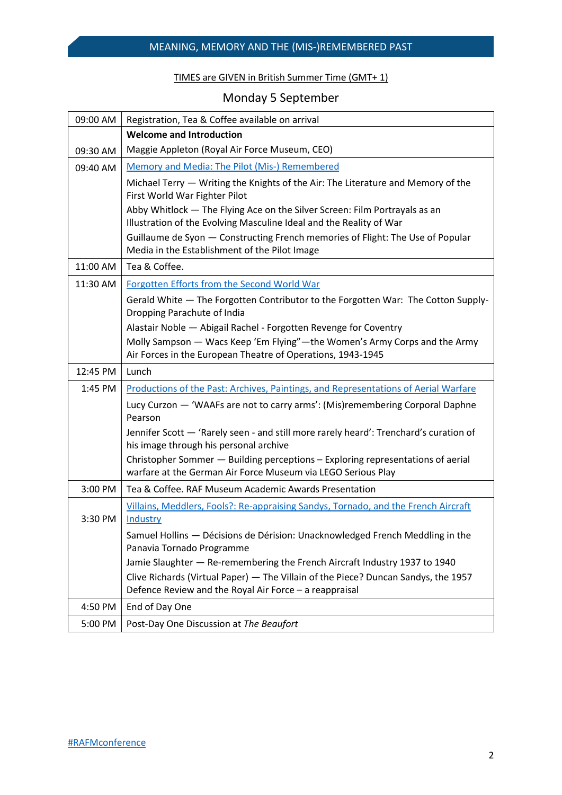# TIMES are GIVEN in British Summer Time (GMT+ 1)

# Monday 5 September

| 09:00 AM | Registration, Tea & Coffee available on arrival                                                                                                   |  |
|----------|---------------------------------------------------------------------------------------------------------------------------------------------------|--|
|          | <b>Welcome and Introduction</b>                                                                                                                   |  |
| 09:30 AM | Maggie Appleton (Royal Air Force Museum, CEO)                                                                                                     |  |
| 09:40 AM | Memory and Media: The Pilot (Mis-) Remembered                                                                                                     |  |
|          | Michael Terry — Writing the Knights of the Air: The Literature and Memory of the<br>First World War Fighter Pilot                                 |  |
|          | Abby Whitlock - The Flying Ace on the Silver Screen: Film Portrayals as an<br>Illustration of the Evolving Masculine Ideal and the Reality of War |  |
|          | Guillaume de Syon - Constructing French memories of Flight: The Use of Popular<br>Media in the Establishment of the Pilot Image                   |  |
| 11:00 AM | Tea & Coffee.                                                                                                                                     |  |
| 11:30 AM | Forgotten Efforts from the Second World War                                                                                                       |  |
|          | Gerald White - The Forgotten Contributor to the Forgotten War: The Cotton Supply-<br>Dropping Parachute of India                                  |  |
|          | Alastair Noble - Abigail Rachel - Forgotten Revenge for Coventry                                                                                  |  |
|          | Molly Sampson - Wacs Keep 'Em Flying"-the Women's Army Corps and the Army<br>Air Forces in the European Theatre of Operations, 1943-1945          |  |
| 12:45 PM | Lunch                                                                                                                                             |  |
| 1:45 PM  | Productions of the Past: Archives, Paintings, and Representations of Aerial Warfare                                                               |  |
|          | Lucy Curzon — 'WAAFs are not to carry arms': (Mis)remembering Corporal Daphne<br>Pearson                                                          |  |
|          | Jennifer Scott - 'Rarely seen - and still more rarely heard': Trenchard's curation of<br>his image through his personal archive                   |  |
|          | Christopher Sommer - Building perceptions - Exploring representations of aerial<br>warfare at the German Air Force Museum via LEGO Serious Play   |  |
| 3:00 PM  | Tea & Coffee, RAF Museum Academic Awards Presentation                                                                                             |  |
| 3:30 PM  | Villains, Meddlers, Fools?: Re-appraising Sandys, Tornado, and the French Aircraft<br>Industry                                                    |  |
|          | Samuel Hollins - Décisions de Dérision: Unacknowledged French Meddling in the<br>Panavia Tornado Programme                                        |  |
|          | Jamie Slaughter - Re-remembering the French Aircraft Industry 1937 to 1940                                                                        |  |
|          | Clive Richards (Virtual Paper) - The Villain of the Piece? Duncan Sandys, the 1957<br>Defence Review and the Royal Air Force - a reappraisal      |  |
| 4:50 PM  | End of Day One                                                                                                                                    |  |
| 5:00 PM  | Post-Day One Discussion at The Beaufort                                                                                                           |  |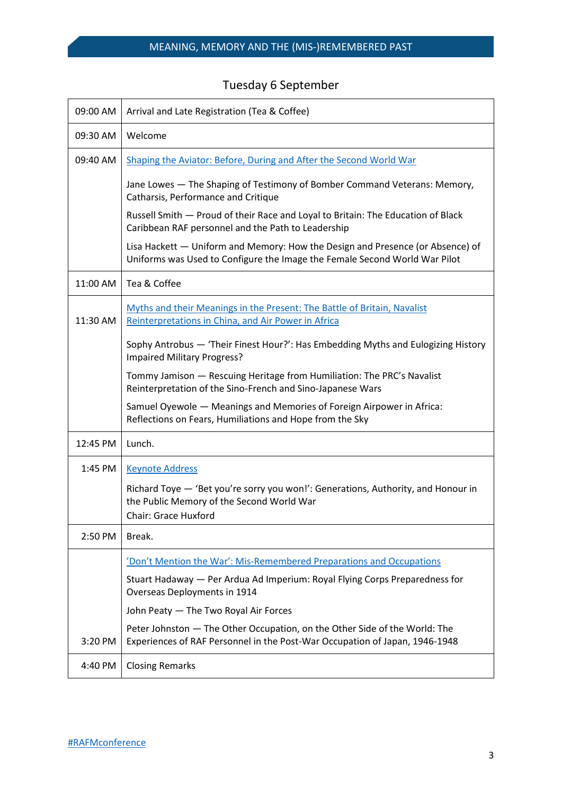|  | <b>Tuesday 6 September</b> |
|--|----------------------------|
|--|----------------------------|

| 09:00 AM | Arrival and Late Registration (Tea & Coffee)                                                                                                                  |
|----------|---------------------------------------------------------------------------------------------------------------------------------------------------------------|
| 09:30 AM | Welcome                                                                                                                                                       |
| 09:40 AM | Shaping the Aviator: Before, During and After the Second World War                                                                                            |
|          | Jane Lowes - The Shaping of Testimony of Bomber Command Veterans: Memory,<br>Catharsis, Performance and Critique                                              |
|          | Russell Smith - Proud of their Race and Loyal to Britain: The Education of Black<br>Caribbean RAF personnel and the Path to Leadership                        |
|          | Lisa Hackett - Uniform and Memory: How the Design and Presence (or Absence) of<br>Uniforms was Used to Configure the Image the Female Second World War Pilot  |
| 11:00 AM | Tea & Coffee                                                                                                                                                  |
| 11:30 AM | Myths and their Meanings in the Present: The Battle of Britain, Navalist<br>Reinterpretations in China, and Air Power in Africa                               |
|          | Sophy Antrobus - 'Their Finest Hour?': Has Embedding Myths and Eulogizing History<br><b>Impaired Military Progress?</b>                                       |
|          | Tommy Jamison - Rescuing Heritage from Humiliation: The PRC's Navalist<br>Reinterpretation of the Sino-French and Sino-Japanese Wars                          |
|          | Samuel Oyewole - Meanings and Memories of Foreign Airpower in Africa:<br>Reflections on Fears, Humiliations and Hope from the Sky                             |
| 12:45 PM | Lunch.                                                                                                                                                        |
| 1:45 PM  | <b>Keynote Address</b>                                                                                                                                        |
|          | Richard Toye - 'Bet you're sorry you won!': Generations, Authority, and Honour in<br>the Public Memory of the Second World War<br><b>Chair: Grace Huxford</b> |
| 2:50 PM  | Break.                                                                                                                                                        |
|          | 'Don't Mention the War': Mis-Remembered Preparations and Occupations                                                                                          |
|          | Stuart Hadaway - Per Ardua Ad Imperium: Royal Flying Corps Preparedness for<br>Overseas Deployments in 1914                                                   |
|          | John Peaty - The Two Royal Air Forces                                                                                                                         |
| 3:20 PM  | Peter Johnston - The Other Occupation, on the Other Side of the World: The<br>Experiences of RAF Personnel in the Post-War Occupation of Japan, 1946-1948     |
| 4:40 PM  | <b>Closing Remarks</b>                                                                                                                                        |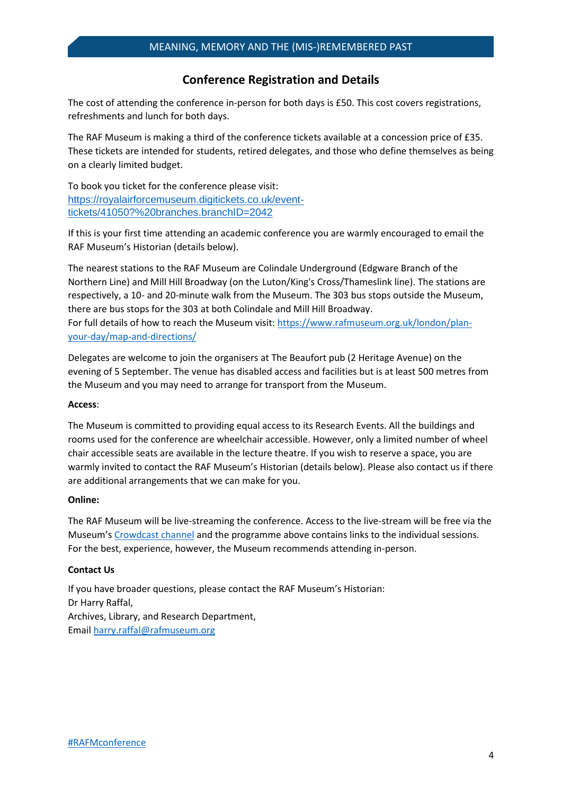# **Conference Registration and Details**

The cost of attending the conference in-person for both days is £50. This cost covers registrations, refreshments and lunch for both days.

The RAF Museum is making a third of the conference tickets available at a concession price of £35. These tickets are intended for students, retired delegates, and those who define themselves as being on a clearly limited budget.

To book you ticket for the conference please visit: [https://royalairforcemuseum.digitickets.co.uk/event](https://royalairforcemuseum.digitickets.co.uk/event-tickets/41050?%20branches.branchID=2042)[tickets/41050?%20branches.branchID=2042](https://royalairforcemuseum.digitickets.co.uk/event-tickets/41050?%20branches.branchID=2042)

If this is your first time attending an academic conference you are warmly encouraged to email the RAF Museum's Historian (details below).

The nearest stations to the RAF Museum are Colindale Underground (Edgware Branch of the Northern Line) and Mill Hill Broadway (on the Luton/King's Cross/Thameslink line). The stations are respectively, a 10- and 20-minute walk from the Museum. The 303 bus stops outside the Museum, there are bus stops for the 303 at both Colindale and Mill Hill Broadway. For full details of how to reach the Museum visit: [https://www.rafmuseum.org.uk/london/plan](https://www.rafmuseum.org.uk/london/plan-your-day/map-and-directions/)[your-day/map-and-directions/](https://www.rafmuseum.org.uk/london/plan-your-day/map-and-directions/)

Delegates are welcome to join the organisers at The Beaufort pub (2 Heritage Avenue) on the evening of 5 September. The venue has disabled access and facilities but is at least 500 metres from the Museum and you may need to arrange for transport from the Museum.

## **Access**:

The Museum is committed to providing equal access to its Research Events. All the buildings and rooms used for the conference are wheelchair accessible. However, only a limited number of wheel chair accessible seats are available in the lecture theatre. If you wish to reserve a space, you are warmly invited to contact the RAF Museum's Historian (details below). Please also contact us if there are additional arrangements that we can make for you.

## **Online:**

The RAF Museum will be live-streaming the conference. Access to the live-stream will be free via the Museum's [Crowdcast channel](https://www.crowdcast.io/rafmuseum) and the programme above contains links to the individual sessions. For the best, experience, however, the Museum recommends attending in-person.

## **Contact Us**

If you have broader questions, please contact the RAF Museum's Historian: Dr Harry Raffal, Archives, Library, and Research Department, Email [harry.raffal@rafmuseum.org](mailto:harry.raffal@rafmuseum.org)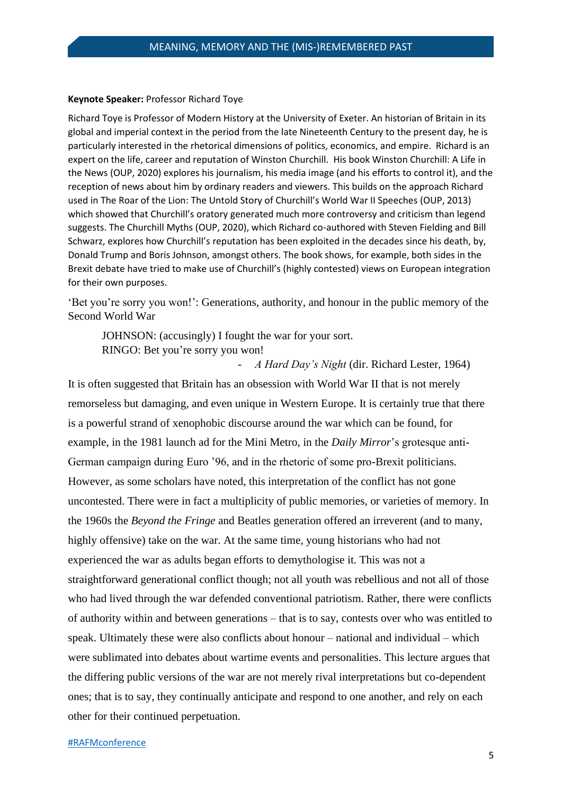#### **Keynote Speaker:** Professor Richard Toye

Richard Toye is Professor of Modern History at the University of Exeter. An historian of Britain in its global and imperial context in the period from the late Nineteenth Century to the present day, he is particularly interested in the rhetorical dimensions of politics, economics, and empire. Richard is an expert on the life, career and reputation of Winston Churchill. His book Winston Churchill: A Life in the News (OUP, 2020) explores his journalism, his media image (and his efforts to control it), and the reception of news about him by ordinary readers and viewers. This builds on the approach Richard used in The Roar of the Lion: The Untold Story of Churchill's World War II Speeches (OUP, 2013) which showed that Churchill's oratory generated much more controversy and criticism than legend suggests. The Churchill Myths (OUP, 2020), which Richard co-authored with Steven Fielding and Bill Schwarz, explores how Churchill's reputation has been exploited in the decades since his death, by, Donald Trump and Boris Johnson, amongst others. The book shows, for example, both sides in the Brexit debate have tried to make use of Churchill's (highly contested) views on European integration for their own purposes.

'Bet you're sorry you won!': Generations, authority, and honour in the public memory of the Second World War

JOHNSON: (accusingly) I fought the war for your sort. RINGO: Bet you're sorry you won!

- *A Hard Day's Night* (dir. Richard Lester, 1964)

It is often suggested that Britain has an obsession with World War II that is not merely remorseless but damaging, and even unique in Western Europe. It is certainly true that there is a powerful strand of xenophobic discourse around the war which can be found, for example, in the 1981 launch ad for the Mini Metro, in the *Daily Mirror*'s grotesque anti-German campaign during Euro '96, and in the rhetoric of some pro-Brexit politicians. However, as some scholars have noted, this interpretation of the conflict has not gone uncontested. There were in fact a multiplicity of public memories, or varieties of memory. In the 1960s the *Beyond the Fringe* and Beatles generation offered an irreverent (and to many, highly offensive) take on the war. At the same time, young historians who had not experienced the war as adults began efforts to demythologise it. This was not a straightforward generational conflict though; not all youth was rebellious and not all of those who had lived through the war defended conventional patriotism. Rather, there were conflicts of authority within and between generations – that is to say, contests over who was entitled to speak. Ultimately these were also conflicts about honour – national and individual – which were sublimated into debates about wartime events and personalities. This lecture argues that the differing public versions of the war are not merely rival interpretations but co-dependent ones; that is to say, they continually anticipate and respond to one another, and rely on each other for their continued perpetuation.

#### [#RAFMconference](https://twitter.com/hashtag/RAFMconference?f=live)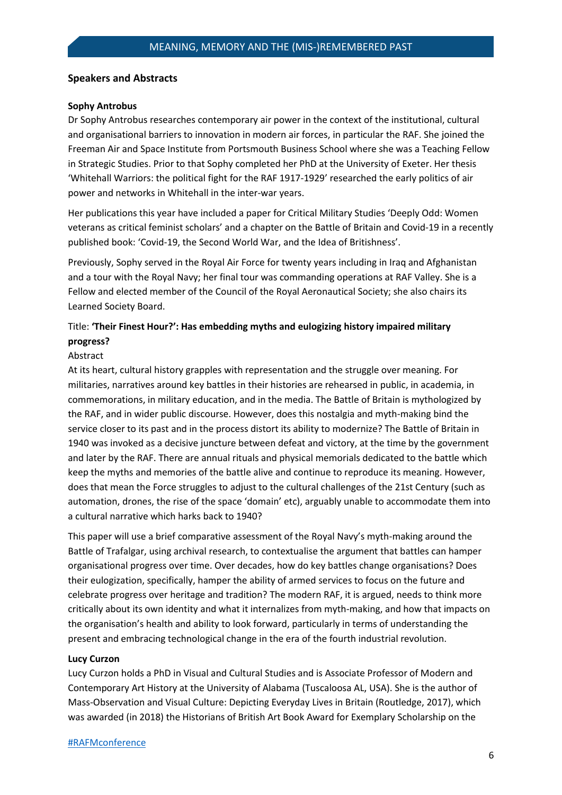#### **Speakers and Abstracts**

#### **Sophy Antrobus**

Dr Sophy Antrobus researches contemporary air power in the context of the institutional, cultural and organisational barriers to innovation in modern air forces, in particular the RAF. She joined the Freeman Air and Space Institute from Portsmouth Business School where she was a Teaching Fellow in Strategic Studies. Prior to that Sophy completed her PhD at the University of Exeter. Her thesis 'Whitehall Warriors: the political fight for the RAF 1917-1929' researched the early politics of air power and networks in Whitehall in the inter-war years.

Her publications this year have included a paper for Critical Military Studies 'Deeply Odd: Women veterans as critical feminist scholars' and a chapter on the Battle of Britain and Covid-19 in a recently published book: 'Covid-19, the Second World War, and the Idea of Britishness'.

Previously, Sophy served in the Royal Air Force for twenty years including in Iraq and Afghanistan and a tour with the Royal Navy; her final tour was commanding operations at RAF Valley. She is a Fellow and elected member of the Council of the Royal Aeronautical Society; she also chairs its Learned Society Board.

# Title: **'Their Finest Hour?': Has embedding myths and eulogizing history impaired military progress?**

## Abstract

At its heart, cultural history grapples with representation and the struggle over meaning. For militaries, narratives around key battles in their histories are rehearsed in public, in academia, in commemorations, in military education, and in the media. The Battle of Britain is mythologized by the RAF, and in wider public discourse. However, does this nostalgia and myth-making bind the service closer to its past and in the process distort its ability to modernize? The Battle of Britain in 1940 was invoked as a decisive juncture between defeat and victory, at the time by the government and later by the RAF. There are annual rituals and physical memorials dedicated to the battle which keep the myths and memories of the battle alive and continue to reproduce its meaning. However, does that mean the Force struggles to adjust to the cultural challenges of the 21st Century (such as automation, drones, the rise of the space 'domain' etc), arguably unable to accommodate them into a cultural narrative which harks back to 1940?

This paper will use a brief comparative assessment of the Royal Navy's myth-making around the Battle of Trafalgar, using archival research, to contextualise the argument that battles can hamper organisational progress over time. Over decades, how do key battles change organisations? Does their eulogization, specifically, hamper the ability of armed services to focus on the future and celebrate progress over heritage and tradition? The modern RAF, it is argued, needs to think more critically about its own identity and what it internalizes from myth-making, and how that impacts on the organisation's health and ability to look forward, particularly in terms of understanding the present and embracing technological change in the era of the fourth industrial revolution.

#### **Lucy Curzon**

Lucy Curzon holds a PhD in Visual and Cultural Studies and is Associate Professor of Modern and Contemporary Art History at the University of Alabama (Tuscaloosa AL, USA). She is the author of Mass-Observation and Visual Culture: Depicting Everyday Lives in Britain (Routledge, 2017), which was awarded (in 2018) the Historians of British Art Book Award for Exemplary Scholarship on the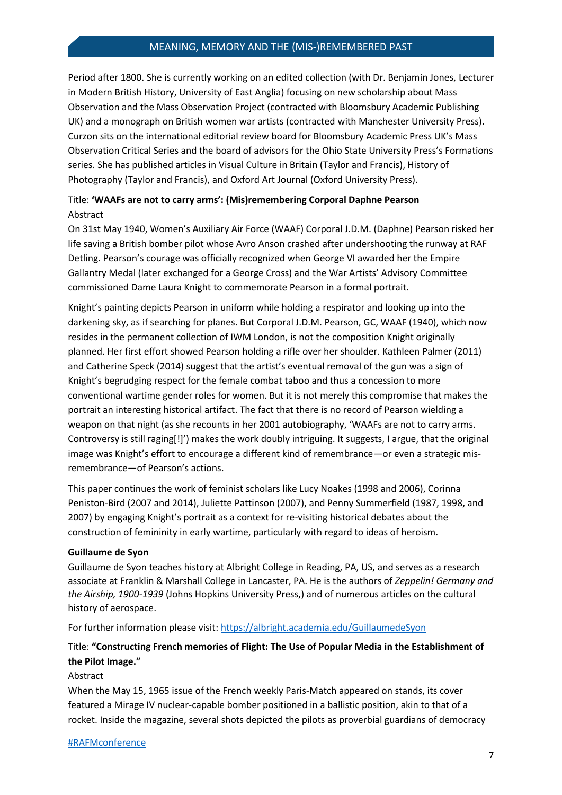## MEANING, MEMORY AND THE (MIS-)REMEMBERED PAST

Period after 1800. She is currently working on an edited collection (with Dr. Benjamin Jones, Lecturer in Modern British History, University of East Anglia) focusing on new scholarship about Mass Observation and the Mass Observation Project (contracted with Bloomsbury Academic Publishing UK) and a monograph on British women war artists (contracted with Manchester University Press). Curzon sits on the international editorial review board for Bloomsbury Academic Press UK's Mass Observation Critical Series and the board of advisors for the Ohio State University Press's Formations series. She has published articles in Visual Culture in Britain (Taylor and Francis), History of Photography (Taylor and Francis), and Oxford Art Journal (Oxford University Press).

# Title: **'WAAFs are not to carry arms': (Mis)remembering Corporal Daphne Pearson** Abstract

On 31st May 1940, Women's Auxiliary Air Force (WAAF) Corporal J.D.M. (Daphne) Pearson risked her life saving a British bomber pilot whose Avro Anson crashed after undershooting the runway at RAF Detling. Pearson's courage was officially recognized when George VI awarded her the Empire Gallantry Medal (later exchanged for a George Cross) and the War Artists' Advisory Committee commissioned Dame Laura Knight to commemorate Pearson in a formal portrait.

Knight's painting depicts Pearson in uniform while holding a respirator and looking up into the darkening sky, as if searching for planes. But Corporal J.D.M. Pearson, GC, WAAF (1940), which now resides in the permanent collection of IWM London, is not the composition Knight originally planned. Her first effort showed Pearson holding a rifle over her shoulder. Kathleen Palmer (2011) and Catherine Speck (2014) suggest that the artist's eventual removal of the gun was a sign of Knight's begrudging respect for the female combat taboo and thus a concession to more conventional wartime gender roles for women. But it is not merely this compromise that makes the portrait an interesting historical artifact. The fact that there is no record of Pearson wielding a weapon on that night (as she recounts in her 2001 autobiography, 'WAAFs are not to carry arms. Controversy is still raging[!]') makes the work doubly intriguing. It suggests, I argue, that the original image was Knight's effort to encourage a different kind of remembrance—or even a strategic misremembrance—of Pearson's actions.

This paper continues the work of feminist scholars like Lucy Noakes (1998 and 2006), Corinna Peniston-Bird (2007 and 2014), Juliette Pattinson (2007), and Penny Summerfield (1987, 1998, and 2007) by engaging Knight's portrait as a context for re-visiting historical debates about the construction of femininity in early wartime, particularly with regard to ideas of heroism.

## **Guillaume de Syon**

Guillaume de Syon teaches history at Albright College in Reading, PA, US, and serves as a research associate at Franklin & Marshall College in Lancaster, PA. He is the authors of *Zeppelin! Germany and the Airship, 1900-1939* (Johns Hopkins University Press,) and of numerous articles on the cultural history of aerospace.

For further information please visit:<https://albright.academia.edu/GuillaumedeSyon>

# Title: **"Constructing French memories of Flight: The Use of Popular Media in the Establishment of the Pilot Image."**

## Abstract

When the May 15, 1965 issue of the French weekly Paris-Match appeared on stands, its cover featured a Mirage IV nuclear-capable bomber positioned in a ballistic position, akin to that of a rocket. Inside the magazine, several shots depicted the pilots as proverbial guardians of democracy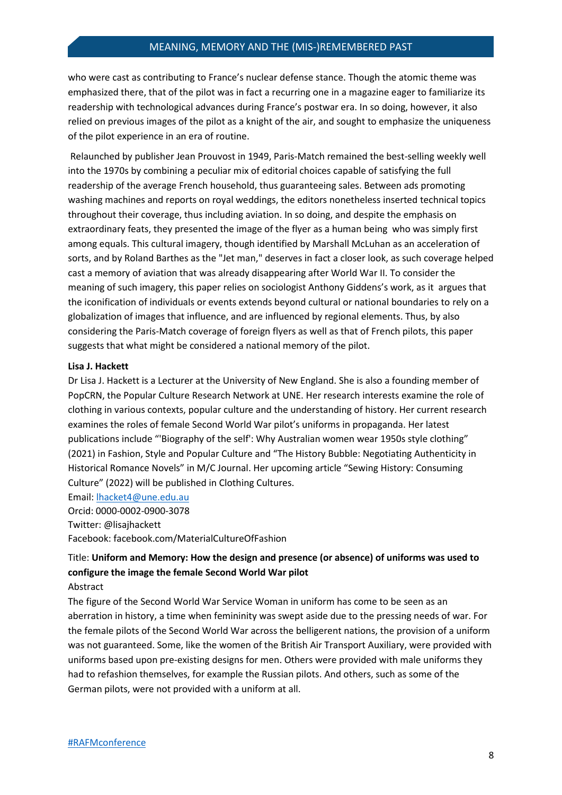who were cast as contributing to France's nuclear defense stance. Though the atomic theme was emphasized there, that of the pilot was in fact a recurring one in a magazine eager to familiarize its readership with technological advances during France's postwar era. In so doing, however, it also relied on previous images of the pilot as a knight of the air, and sought to emphasize the uniqueness of the pilot experience in an era of routine.

Relaunched by publisher Jean Prouvost in 1949, Paris-Match remained the best-selling weekly well into the 1970s by combining a peculiar mix of editorial choices capable of satisfying the full readership of the average French household, thus guaranteeing sales. Between ads promoting washing machines and reports on royal weddings, the editors nonetheless inserted technical topics throughout their coverage, thus including aviation. In so doing, and despite the emphasis on extraordinary feats, they presented the image of the flyer as a human being who was simply first among equals. This cultural imagery, though identified by Marshall McLuhan as an acceleration of sorts, and by Roland Barthes as the "Jet man," deserves in fact a closer look, as such coverage helped cast a memory of aviation that was already disappearing after World War II. To consider the meaning of such imagery, this paper relies on sociologist Anthony Giddens's work, as it argues that the iconification of individuals or events extends beyond cultural or national boundaries to rely on a globalization of images that influence, and are influenced by regional elements. Thus, by also considering the Paris-Match coverage of foreign flyers as well as that of French pilots, this paper suggests that what might be considered a national memory of the pilot.

#### **Lisa J. Hackett**

Dr Lisa J. Hackett is a Lecturer at the University of New England. She is also a founding member of PopCRN, the Popular Culture Research Network at UNE. Her research interests examine the role of clothing in various contexts, popular culture and the understanding of history. Her current research examines the roles of female Second World War pilot's uniforms in propaganda. Her latest publications include "'Biography of the self': Why Australian women wear 1950s style clothing" (2021) in Fashion, Style and Popular Culture and "The History Bubble: Negotiating Authenticity in Historical Romance Novels" in M/C Journal. Her upcoming article "Sewing History: Consuming Culture" (2022) will be published in Clothing Cultures.

#### Email: [lhacket4@une.edu.au](mailto:lhacket4@une.edu.au)

Orcid: 0000-0002-0900-3078

Twitter: @lisajhackett

Facebook: facebook.com/MaterialCultureOfFashion

# Title: **Uniform and Memory: How the design and presence (or absence) of uniforms was used to configure the image the female Second World War pilot**

#### Abstract

The figure of the Second World War Service Woman in uniform has come to be seen as an aberration in history, a time when femininity was swept aside due to the pressing needs of war. For the female pilots of the Second World War across the belligerent nations, the provision of a uniform was not guaranteed. Some, like the women of the British Air Transport Auxiliary, were provided with uniforms based upon pre-existing designs for men. Others were provided with male uniforms they had to refashion themselves, for example the Russian pilots. And others, such as some of the German pilots, were not provided with a uniform at all.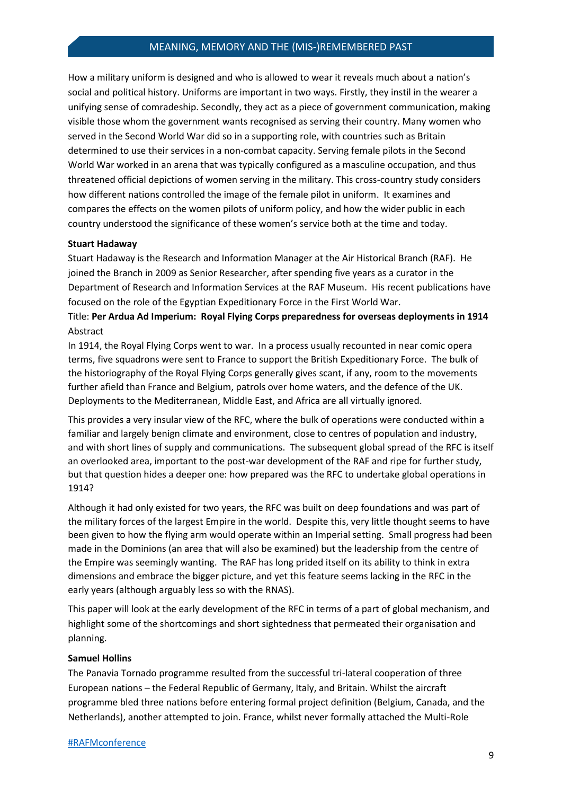## MEANING, MEMORY AND THE (MIS-)REMEMBERED PAST

How a military uniform is designed and who is allowed to wear it reveals much about a nation's social and political history. Uniforms are important in two ways. Firstly, they instil in the wearer a unifying sense of comradeship. Secondly, they act as a piece of government communication, making visible those whom the government wants recognised as serving their country. Many women who served in the Second World War did so in a supporting role, with countries such as Britain determined to use their services in a non-combat capacity. Serving female pilots in the Second World War worked in an arena that was typically configured as a masculine occupation, and thus threatened official depictions of women serving in the military. This cross-country study considers how different nations controlled the image of the female pilot in uniform. It examines and compares the effects on the women pilots of uniform policy, and how the wider public in each country understood the significance of these women's service both at the time and today.

#### **Stuart Hadaway**

Stuart Hadaway is the Research and Information Manager at the Air Historical Branch (RAF). He joined the Branch in 2009 as Senior Researcher, after spending five years as a curator in the Department of Research and Information Services at the RAF Museum. His recent publications have focused on the role of the Egyptian Expeditionary Force in the First World War.

Title: **Per Ardua Ad Imperium: Royal Flying Corps preparedness for overseas deployments in 1914** Abstract

In 1914, the Royal Flying Corps went to war. In a process usually recounted in near comic opera terms, five squadrons were sent to France to support the British Expeditionary Force. The bulk of the historiography of the Royal Flying Corps generally gives scant, if any, room to the movements further afield than France and Belgium, patrols over home waters, and the defence of the UK. Deployments to the Mediterranean, Middle East, and Africa are all virtually ignored.

This provides a very insular view of the RFC, where the bulk of operations were conducted within a familiar and largely benign climate and environment, close to centres of population and industry, and with short lines of supply and communications. The subsequent global spread of the RFC is itself an overlooked area, important to the post-war development of the RAF and ripe for further study, but that question hides a deeper one: how prepared was the RFC to undertake global operations in 1914?

Although it had only existed for two years, the RFC was built on deep foundations and was part of the military forces of the largest Empire in the world. Despite this, very little thought seems to have been given to how the flying arm would operate within an Imperial setting. Small progress had been made in the Dominions (an area that will also be examined) but the leadership from the centre of the Empire was seemingly wanting. The RAF has long prided itself on its ability to think in extra dimensions and embrace the bigger picture, and yet this feature seems lacking in the RFC in the early years (although arguably less so with the RNAS).

This paper will look at the early development of the RFC in terms of a part of global mechanism, and highlight some of the shortcomings and short sightedness that permeated their organisation and planning.

#### **Samuel Hollins**

The Panavia Tornado programme resulted from the successful tri-lateral cooperation of three European nations – the Federal Republic of Germany, Italy, and Britain. Whilst the aircraft programme bled three nations before entering formal project definition (Belgium, Canada, and the Netherlands), another attempted to join. France, whilst never formally attached the Multi-Role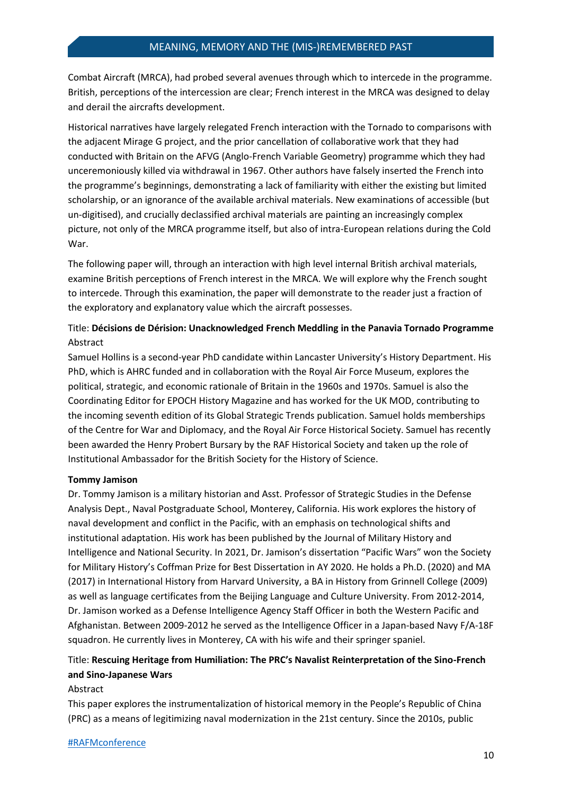Combat Aircraft (MRCA), had probed several avenues through which to intercede in the programme. British, perceptions of the intercession are clear; French interest in the MRCA was designed to delay and derail the aircrafts development.

Historical narratives have largely relegated French interaction with the Tornado to comparisons with the adjacent Mirage G project, and the prior cancellation of collaborative work that they had conducted with Britain on the AFVG (Anglo-French Variable Geometry) programme which they had unceremoniously killed via withdrawal in 1967. Other authors have falsely inserted the French into the programme's beginnings, demonstrating a lack of familiarity with either the existing but limited scholarship, or an ignorance of the available archival materials. New examinations of accessible (but un-digitised), and crucially declassified archival materials are painting an increasingly complex picture, not only of the MRCA programme itself, but also of intra-European relations during the Cold War.

The following paper will, through an interaction with high level internal British archival materials, examine British perceptions of French interest in the MRCA. We will explore why the French sought to intercede. Through this examination, the paper will demonstrate to the reader just a fraction of the exploratory and explanatory value which the aircraft possesses.

# Title: **Décisions de Dérision: Unacknowledged French Meddling in the Panavia Tornado Programme** Abstract

Samuel Hollins is a second-year PhD candidate within Lancaster University's History Department. His PhD, which is AHRC funded and in collaboration with the Royal Air Force Museum, explores the political, strategic, and economic rationale of Britain in the 1960s and 1970s. Samuel is also the Coordinating Editor for EPOCH History Magazine and has worked for the UK MOD, contributing to the incoming seventh edition of its Global Strategic Trends publication. Samuel holds memberships of the Centre for War and Diplomacy, and the Royal Air Force Historical Society. Samuel has recently been awarded the Henry Probert Bursary by the RAF Historical Society and taken up the role of Institutional Ambassador for the British Society for the History of Science.

#### **Tommy Jamison**

Dr. Tommy Jamison is a military historian and Asst. Professor of Strategic Studies in the Defense Analysis Dept., Naval Postgraduate School, Monterey, California. His work explores the history of naval development and conflict in the Pacific, with an emphasis on technological shifts and institutional adaptation. His work has been published by the Journal of Military History and Intelligence and National Security. In 2021, Dr. Jamison's dissertation "Pacific Wars" won the Society for Military History's Coffman Prize for Best Dissertation in AY 2020. He holds a Ph.D. (2020) and MA (2017) in International History from Harvard University, a BA in History from Grinnell College (2009) as well as language certificates from the Beijing Language and Culture University. From 2012-2014, Dr. Jamison worked as a Defense Intelligence Agency Staff Officer in both the Western Pacific and Afghanistan. Between 2009-2012 he served as the Intelligence Officer in a Japan-based Navy F/A-18F squadron. He currently lives in Monterey, CA with his wife and their springer spaniel.

# Title: **Rescuing Heritage from Humiliation: The PRC's Navalist Reinterpretation of the Sino-French and Sino-Japanese Wars**

#### Abstract

This paper explores the instrumentalization of historical memory in the People's Republic of China (PRC) as a means of legitimizing naval modernization in the 21st century. Since the 2010s, public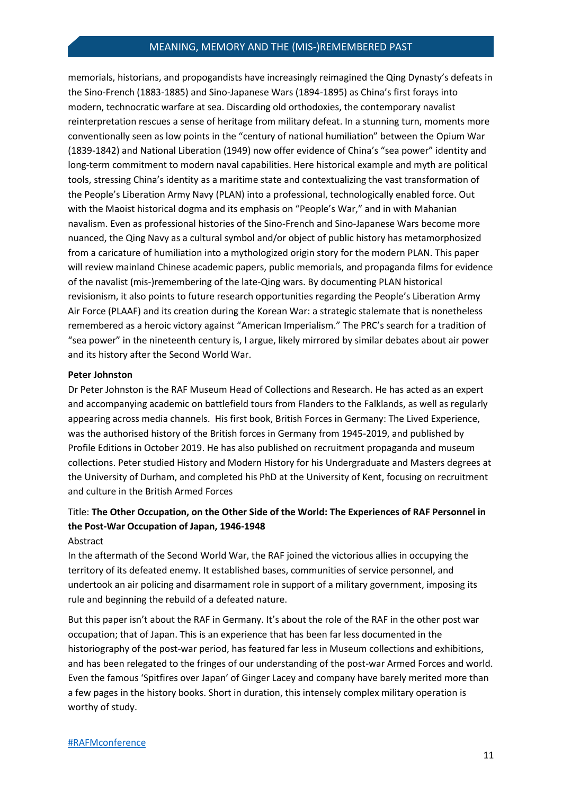## MEANING, MEMORY AND THE (MIS-)REMEMBERED PAST

memorials, historians, and propogandists have increasingly reimagined the Qing Dynasty's defeats in the Sino-French (1883-1885) and Sino-Japanese Wars (1894-1895) as China's first forays into modern, technocratic warfare at sea. Discarding old orthodoxies, the contemporary navalist reinterpretation rescues a sense of heritage from military defeat. In a stunning turn, moments more conventionally seen as low points in the "century of national humiliation" between the Opium War (1839-1842) and National Liberation (1949) now offer evidence of China's "sea power" identity and long-term commitment to modern naval capabilities. Here historical example and myth are political tools, stressing China's identity as a maritime state and contextualizing the vast transformation of the People's Liberation Army Navy (PLAN) into a professional, technologically enabled force. Out with the Maoist historical dogma and its emphasis on "People's War," and in with Mahanian navalism. Even as professional histories of the Sino-French and Sino-Japanese Wars become more nuanced, the Qing Navy as a cultural symbol and/or object of public history has metamorphosized from a caricature of humiliation into a mythologized origin story for the modern PLAN. This paper will review mainland Chinese academic papers, public memorials, and propaganda films for evidence of the navalist (mis-)remembering of the late-Qing wars. By documenting PLAN historical revisionism, it also points to future research opportunities regarding the People's Liberation Army Air Force (PLAAF) and its creation during the Korean War: a strategic stalemate that is nonetheless remembered as a heroic victory against "American Imperialism." The PRC's search for a tradition of "sea power" in the nineteenth century is, I argue, likely mirrored by similar debates about air power and its history after the Second World War.

#### **Peter Johnston**

Dr Peter Johnston is the RAF Museum Head of Collections and Research. He has acted as an expert and accompanying academic on battlefield tours from Flanders to the Falklands, as well as regularly appearing across media channels. His first book, British Forces in Germany: The Lived Experience, was the authorised history of the British forces in Germany from 1945-2019, and published by Profile Editions in October 2019. He has also published on recruitment propaganda and museum collections. Peter studied History and Modern History for his Undergraduate and Masters degrees at the University of Durham, and completed his PhD at the University of Kent, focusing on recruitment and culture in the British Armed Forces

# Title: **The Other Occupation, on the Other Side of the World: The Experiences of RAF Personnel in the Post-War Occupation of Japan, 1946-1948**

## Abstract

In the aftermath of the Second World War, the RAF joined the victorious allies in occupying the territory of its defeated enemy. It established bases, communities of service personnel, and undertook an air policing and disarmament role in support of a military government, imposing its rule and beginning the rebuild of a defeated nature.

But this paper isn't about the RAF in Germany. It's about the role of the RAF in the other post war occupation; that of Japan. This is an experience that has been far less documented in the historiography of the post-war period, has featured far less in Museum collections and exhibitions, and has been relegated to the fringes of our understanding of the post-war Armed Forces and world. Even the famous 'Spitfires over Japan' of Ginger Lacey and company have barely merited more than a few pages in the history books. Short in duration, this intensely complex military operation is worthy of study.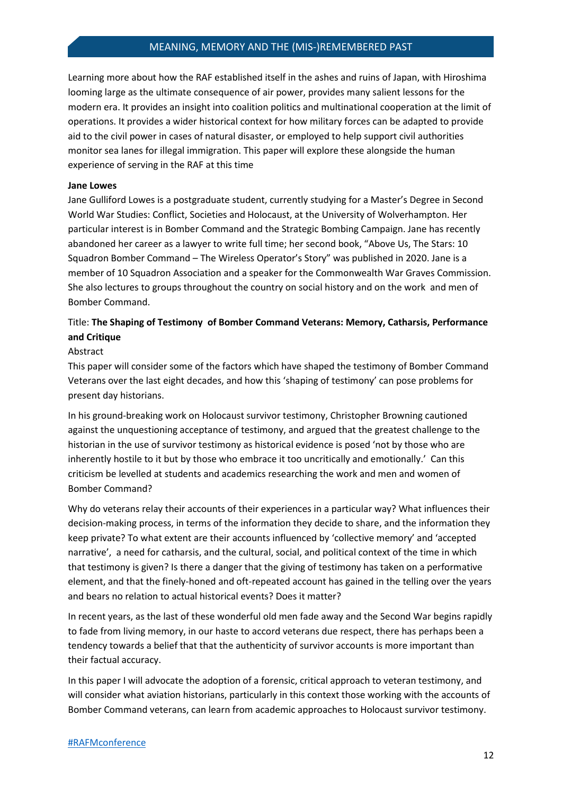Learning more about how the RAF established itself in the ashes and ruins of Japan, with Hiroshima looming large as the ultimate consequence of air power, provides many salient lessons for the modern era. It provides an insight into coalition politics and multinational cooperation at the limit of operations. It provides a wider historical context for how military forces can be adapted to provide aid to the civil power in cases of natural disaster, or employed to help support civil authorities monitor sea lanes for illegal immigration. This paper will explore these alongside the human experience of serving in the RAF at this time

#### **Jane Lowes**

Jane Gulliford Lowes is a postgraduate student, currently studying for a Master's Degree in Second World War Studies: Conflict, Societies and Holocaust, at the University of Wolverhampton. Her particular interest is in Bomber Command and the Strategic Bombing Campaign. Jane has recently abandoned her career as a lawyer to write full time; her second book, "Above Us, The Stars: 10 Squadron Bomber Command – The Wireless Operator's Story" was published in 2020. Jane is a member of 10 Squadron Association and a speaker for the Commonwealth War Graves Commission. She also lectures to groups throughout the country on social history and on the work and men of Bomber Command.

# Title: **The Shaping of Testimony of Bomber Command Veterans: Memory, Catharsis, Performance and Critique**

#### Abstract

This paper will consider some of the factors which have shaped the testimony of Bomber Command Veterans over the last eight decades, and how this 'shaping of testimony' can pose problems for present day historians.

In his ground-breaking work on Holocaust survivor testimony, Christopher Browning cautioned against the unquestioning acceptance of testimony, and argued that the greatest challenge to the historian in the use of survivor testimony as historical evidence is posed 'not by those who are inherently hostile to it but by those who embrace it too uncritically and emotionally.' Can this criticism be levelled at students and academics researching the work and men and women of Bomber Command?

Why do veterans relay their accounts of their experiences in a particular way? What influences their decision-making process, in terms of the information they decide to share, and the information they keep private? To what extent are their accounts influenced by 'collective memory' and 'accepted narrative', a need for catharsis, and the cultural, social, and political context of the time in which that testimony is given? Is there a danger that the giving of testimony has taken on a performative element, and that the finely-honed and oft-repeated account has gained in the telling over the years and bears no relation to actual historical events? Does it matter?

In recent years, as the last of these wonderful old men fade away and the Second War begins rapidly to fade from living memory, in our haste to accord veterans due respect, there has perhaps been a tendency towards a belief that that the authenticity of survivor accounts is more important than their factual accuracy.

In this paper I will advocate the adoption of a forensic, critical approach to veteran testimony, and will consider what aviation historians, particularly in this context those working with the accounts of Bomber Command veterans, can learn from academic approaches to Holocaust survivor testimony.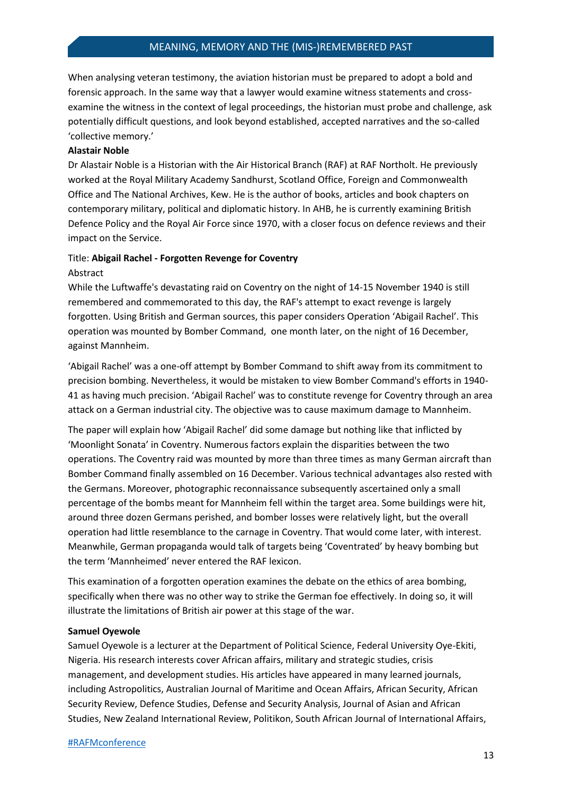When analysing veteran testimony, the aviation historian must be prepared to adopt a bold and forensic approach. In the same way that a lawyer would examine witness statements and crossexamine the witness in the context of legal proceedings, the historian must probe and challenge, ask potentially difficult questions, and look beyond established, accepted narratives and the so-called 'collective memory.'

#### **Alastair Noble**

Dr Alastair Noble is a Historian with the Air Historical Branch (RAF) at RAF Northolt. He previously worked at the Royal Military Academy Sandhurst, Scotland Office, Foreign and Commonwealth Office and The National Archives, Kew. He is the author of books, articles and book chapters on contemporary military, political and diplomatic history. In AHB, he is currently examining British Defence Policy and the Royal Air Force since 1970, with a closer focus on defence reviews and their impact on the Service.

#### Title: **Abigail Rachel - Forgotten Revenge for Coventry**

Abstract

While the Luftwaffe's devastating raid on Coventry on the night of 14-15 November 1940 is still remembered and commemorated to this day, the RAF's attempt to exact revenge is largely forgotten. Using British and German sources, this paper considers Operation 'Abigail Rachel'. This operation was mounted by Bomber Command, one month later, on the night of 16 December, against Mannheim.

'Abigail Rachel' was a one-off attempt by Bomber Command to shift away from its commitment to precision bombing. Nevertheless, it would be mistaken to view Bomber Command's efforts in 1940- 41 as having much precision. 'Abigail Rachel' was to constitute revenge for Coventry through an area attack on a German industrial city. The objective was to cause maximum damage to Mannheim.

The paper will explain how 'Abigail Rachel' did some damage but nothing like that inflicted by 'Moonlight Sonata' in Coventry. Numerous factors explain the disparities between the two operations. The Coventry raid was mounted by more than three times as many German aircraft than Bomber Command finally assembled on 16 December. Various technical advantages also rested with the Germans. Moreover, photographic reconnaissance subsequently ascertained only a small percentage of the bombs meant for Mannheim fell within the target area. Some buildings were hit, around three dozen Germans perished, and bomber losses were relatively light, but the overall operation had little resemblance to the carnage in Coventry. That would come later, with interest. Meanwhile, German propaganda would talk of targets being 'Coventrated' by heavy bombing but the term 'Mannheimed' never entered the RAF lexicon.

This examination of a forgotten operation examines the debate on the ethics of area bombing, specifically when there was no other way to strike the German foe effectively. In doing so, it will illustrate the limitations of British air power at this stage of the war.

#### **Samuel Oyewole**

Samuel Oyewole is a lecturer at the Department of Political Science, Federal University Oye-Ekiti, Nigeria. His research interests cover African affairs, military and strategic studies, crisis management, and development studies. His articles have appeared in many learned journals, including Astropolitics, Australian Journal of Maritime and Ocean Affairs, African Security, African Security Review, Defence Studies, Defense and Security Analysis, Journal of Asian and African Studies, New Zealand International Review, Politikon, South African Journal of International Affairs,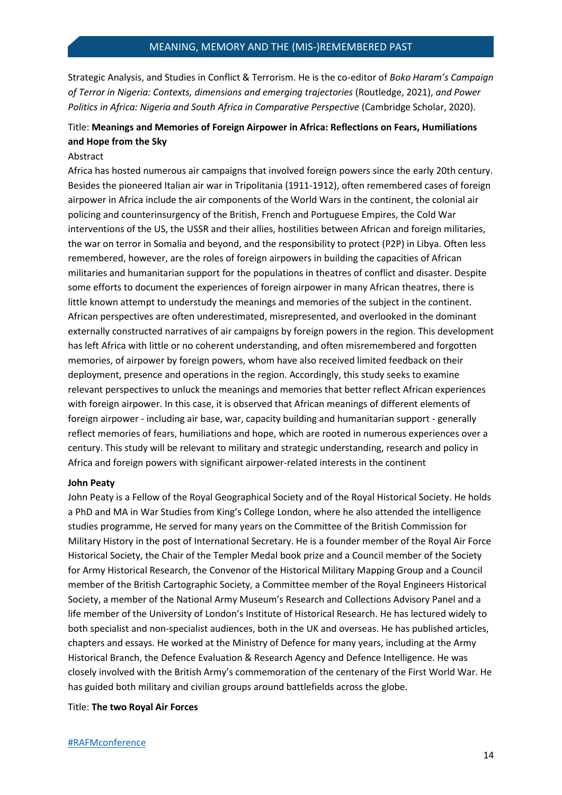Strategic Analysis, and Studies in Conflict & Terrorism. He is the co-editor of *Boko Haram's Campaign of Terror in Nigeria: Contexts, dimensions and emerging trajectories* (Routledge, 2021), *and Power Politics in Africa: Nigeria and South Africa in Comparative Perspective* (Cambridge Scholar, 2020).

# Title: **Meanings and Memories of Foreign Airpower in Africa: Reflections on Fears, Humiliations and Hope from the Sky**

## Abstract

Africa has hosted numerous air campaigns that involved foreign powers since the early 20th century. Besides the pioneered Italian air war in Tripolitania (1911-1912), often remembered cases of foreign airpower in Africa include the air components of the World Wars in the continent, the colonial air policing and counterinsurgency of the British, French and Portuguese Empires, the Cold War interventions of the US, the USSR and their allies, hostilities between African and foreign militaries, the war on terror in Somalia and beyond, and the responsibility to protect (P2P) in Libya. Often less remembered, however, are the roles of foreign airpowers in building the capacities of African militaries and humanitarian support for the populations in theatres of conflict and disaster. Despite some efforts to document the experiences of foreign airpower in many African theatres, there is little known attempt to understudy the meanings and memories of the subject in the continent. African perspectives are often underestimated, misrepresented, and overlooked in the dominant externally constructed narratives of air campaigns by foreign powers in the region. This development has left Africa with little or no coherent understanding, and often misremembered and forgotten memories, of airpower by foreign powers, whom have also received limited feedback on their deployment, presence and operations in the region. Accordingly, this study seeks to examine relevant perspectives to unluck the meanings and memories that better reflect African experiences with foreign airpower. In this case, it is observed that African meanings of different elements of foreign airpower - including air base, war, capacity building and humanitarian support - generally reflect memories of fears, humiliations and hope, which are rooted in numerous experiences over a century. This study will be relevant to military and strategic understanding, research and policy in Africa and foreign powers with significant airpower-related interests in the continent

#### **John Peaty**

John Peaty is a Fellow of the Royal Geographical Society and of the Royal Historical Society. He holds a PhD and MA in War Studies from King's College London, where he also attended the intelligence studies programme, He served for many years on the Committee of the British Commission for Military History in the post of International Secretary. He is a founder member of the Royal Air Force Historical Society, the Chair of the Templer Medal book prize and a Council member of the Society for Army Historical Research, the Convenor of the Historical Military Mapping Group and a Council member of the British Cartographic Society, a Committee member of the Royal Engineers Historical Society, a member of the National Army Museum's Research and Collections Advisory Panel and a life member of the University of London's Institute of Historical Research. He has lectured widely to both specialist and non-specialist audiences, both in the UK and overseas. He has published articles, chapters and essays. He worked at the Ministry of Defence for many years, including at the Army Historical Branch, the Defence Evaluation & Research Agency and Defence Intelligence. He was closely involved with the British Army's commemoration of the centenary of the First World War. He has guided both military and civilian groups around battlefields across the globe.

#### Title: **The two Royal Air Forces**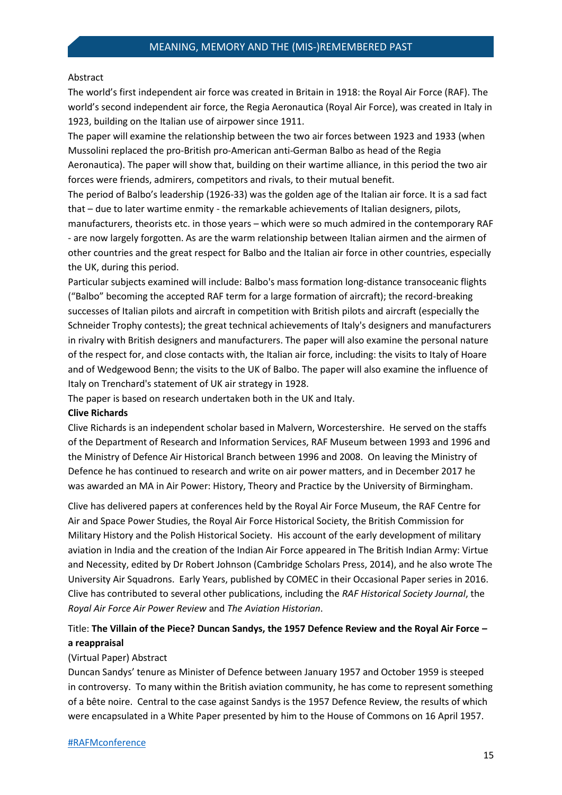#### Abstract

The world's first independent air force was created in Britain in 1918: the Royal Air Force (RAF). The world's second independent air force, the Regia Aeronautica (Royal Air Force), was created in Italy in 1923, building on the Italian use of airpower since 1911.

The paper will examine the relationship between the two air forces between 1923 and 1933 (when Mussolini replaced the pro-British pro-American anti-German Balbo as head of the Regia Aeronautica). The paper will show that, building on their wartime alliance, in this period the two air forces were friends, admirers, competitors and rivals, to their mutual benefit.

The period of Balbo's leadership (1926-33) was the golden age of the Italian air force. It is a sad fact that – due to later wartime enmity - the remarkable achievements of Italian designers, pilots, manufacturers, theorists etc. in those years – which were so much admired in the contemporary RAF - are now largely forgotten. As are the warm relationship between Italian airmen and the airmen of other countries and the great respect for Balbo and the Italian air force in other countries, especially the UK, during this period.

Particular subjects examined will include: Balbo's mass formation long-distance transoceanic flights ("Balbo" becoming the accepted RAF term for a large formation of aircraft); the record-breaking successes of Italian pilots and aircraft in competition with British pilots and aircraft (especially the Schneider Trophy contests); the great technical achievements of Italy's designers and manufacturers in rivalry with British designers and manufacturers. The paper will also examine the personal nature of the respect for, and close contacts with, the Italian air force, including: the visits to Italy of Hoare and of Wedgewood Benn; the visits to the UK of Balbo. The paper will also examine the influence of Italy on Trenchard's statement of UK air strategy in 1928.

The paper is based on research undertaken both in the UK and Italy.

#### **Clive Richards**

Clive Richards is an independent scholar based in Malvern, Worcestershire. He served on the staffs of the Department of Research and Information Services, RAF Museum between 1993 and 1996 and the Ministry of Defence Air Historical Branch between 1996 and 2008. On leaving the Ministry of Defence he has continued to research and write on air power matters, and in December 2017 he was awarded an MA in Air Power: History, Theory and Practice by the University of Birmingham.

Clive has delivered papers at conferences held by the Royal Air Force Museum, the RAF Centre for Air and Space Power Studies, the Royal Air Force Historical Society, the British Commission for Military History and the Polish Historical Society. His account of the early development of military aviation in India and the creation of the Indian Air Force appeared in The British Indian Army: Virtue and Necessity, edited by Dr Robert Johnson (Cambridge Scholars Press, 2014), and he also wrote The University Air Squadrons. Early Years, published by COMEC in their Occasional Paper series in 2016. Clive has contributed to several other publications, including the *RAF Historical Society Journal*, the *Royal Air Force Air Power Review* and *The Aviation Historian*.

# Title: **The Villain of the Piece? Duncan Sandys, the 1957 Defence Review and the Royal Air Force – a reappraisal**

## (Virtual Paper) Abstract

Duncan Sandys' tenure as Minister of Defence between January 1957 and October 1959 is steeped in controversy. To many within the British aviation community, he has come to represent something of a bête noire. Central to the case against Sandys is the 1957 Defence Review, the results of which were encapsulated in a White Paper presented by him to the House of Commons on 16 April 1957.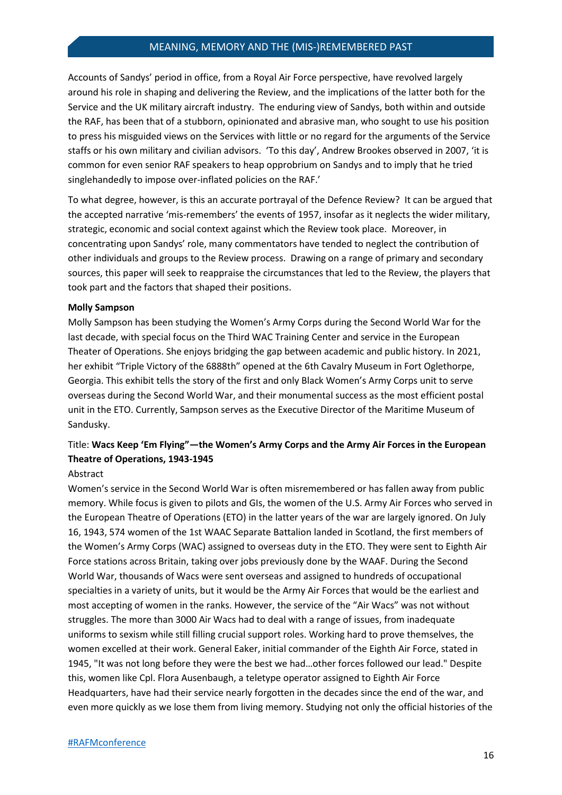Accounts of Sandys' period in office, from a Royal Air Force perspective, have revolved largely around his role in shaping and delivering the Review, and the implications of the latter both for the Service and the UK military aircraft industry. The enduring view of Sandys, both within and outside the RAF, has been that of a stubborn, opinionated and abrasive man, who sought to use his position to press his misguided views on the Services with little or no regard for the arguments of the Service staffs or his own military and civilian advisors. 'To this day', Andrew Brookes observed in 2007, 'it is common for even senior RAF speakers to heap opprobrium on Sandys and to imply that he tried singlehandedly to impose over-inflated policies on the RAF.'

To what degree, however, is this an accurate portrayal of the Defence Review? It can be argued that the accepted narrative 'mis-remembers' the events of 1957, insofar as it neglects the wider military, strategic, economic and social context against which the Review took place. Moreover, in concentrating upon Sandys' role, many commentators have tended to neglect the contribution of other individuals and groups to the Review process. Drawing on a range of primary and secondary sources, this paper will seek to reappraise the circumstances that led to the Review, the players that took part and the factors that shaped their positions.

#### **Molly Sampson**

Molly Sampson has been studying the Women's Army Corps during the Second World War for the last decade, with special focus on the Third WAC Training Center and service in the European Theater of Operations. She enjoys bridging the gap between academic and public history. In 2021, her exhibit "Triple Victory of the 6888th" opened at the 6th Cavalry Museum in Fort Oglethorpe, Georgia. This exhibit tells the story of the first and only Black Women's Army Corps unit to serve overseas during the Second World War, and their monumental success as the most efficient postal unit in the ETO. Currently, Sampson serves as the Executive Director of the Maritime Museum of Sandusky.

# Title: **Wacs Keep 'Em Flying"—the Women's Army Corps and the Army Air Forces in the European Theatre of Operations, 1943-1945**

## Abstract

Women's service in the Second World War is often misremembered or has fallen away from public memory. While focus is given to pilots and GIs, the women of the U.S. Army Air Forces who served in the European Theatre of Operations (ETO) in the latter years of the war are largely ignored. On July 16, 1943, 574 women of the 1st WAAC Separate Battalion landed in Scotland, the first members of the Women's Army Corps (WAC) assigned to overseas duty in the ETO. They were sent to Eighth Air Force stations across Britain, taking over jobs previously done by the WAAF. During the Second World War, thousands of Wacs were sent overseas and assigned to hundreds of occupational specialties in a variety of units, but it would be the Army Air Forces that would be the earliest and most accepting of women in the ranks. However, the service of the "Air Wacs" was not without struggles. The more than 3000 Air Wacs had to deal with a range of issues, from inadequate uniforms to sexism while still filling crucial support roles. Working hard to prove themselves, the women excelled at their work. General Eaker, initial commander of the Eighth Air Force, stated in 1945, "It was not long before they were the best we had…other forces followed our lead." Despite this, women like Cpl. Flora Ausenbaugh, a teletype operator assigned to Eighth Air Force Headquarters, have had their service nearly forgotten in the decades since the end of the war, and even more quickly as we lose them from living memory. Studying not only the official histories of the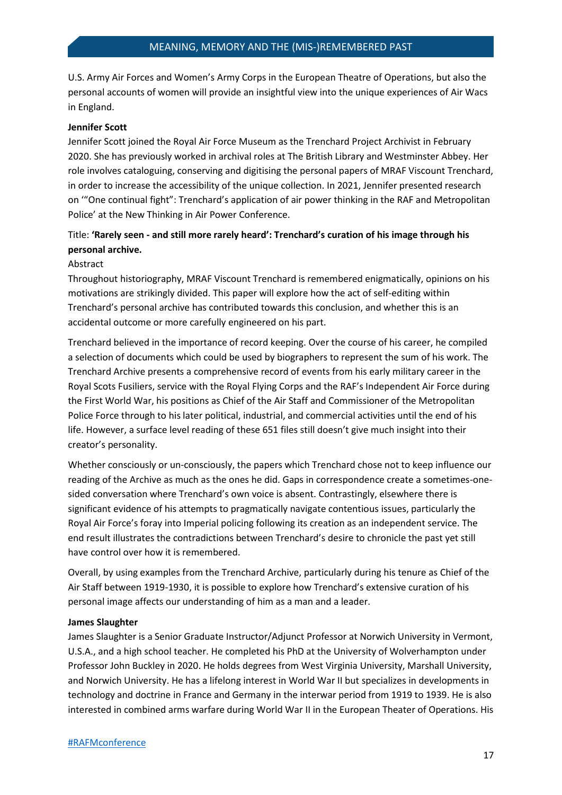U.S. Army Air Forces and Women's Army Corps in the European Theatre of Operations, but also the personal accounts of women will provide an insightful view into the unique experiences of Air Wacs in England.

#### **Jennifer Scott**

Jennifer Scott joined the Royal Air Force Museum as the Trenchard Project Archivist in February 2020. She has previously worked in archival roles at The British Library and Westminster Abbey. Her role involves cataloguing, conserving and digitising the personal papers of MRAF Viscount Trenchard, in order to increase the accessibility of the unique collection. In 2021, Jennifer presented research on '"One continual fight": Trenchard's application of air power thinking in the RAF and Metropolitan Police' at the New Thinking in Air Power Conference.

## Title: **'Rarely seen - and still more rarely heard': Trenchard's curation of his image through his personal archive.**

#### Abstract

Throughout historiography, MRAF Viscount Trenchard is remembered enigmatically, opinions on his motivations are strikingly divided. This paper will explore how the act of self-editing within Trenchard's personal archive has contributed towards this conclusion, and whether this is an accidental outcome or more carefully engineered on his part.

Trenchard believed in the importance of record keeping. Over the course of his career, he compiled a selection of documents which could be used by biographers to represent the sum of his work. The Trenchard Archive presents a comprehensive record of events from his early military career in the Royal Scots Fusiliers, service with the Royal Flying Corps and the RAF's Independent Air Force during the First World War, his positions as Chief of the Air Staff and Commissioner of the Metropolitan Police Force through to his later political, industrial, and commercial activities until the end of his life. However, a surface level reading of these 651 files still doesn't give much insight into their creator's personality.

Whether consciously or un-consciously, the papers which Trenchard chose not to keep influence our reading of the Archive as much as the ones he did. Gaps in correspondence create a sometimes-onesided conversation where Trenchard's own voice is absent. Contrastingly, elsewhere there is significant evidence of his attempts to pragmatically navigate contentious issues, particularly the Royal Air Force's foray into Imperial policing following its creation as an independent service. The end result illustrates the contradictions between Trenchard's desire to chronicle the past yet still have control over how it is remembered.

Overall, by using examples from the Trenchard Archive, particularly during his tenure as Chief of the Air Staff between 1919-1930, it is possible to explore how Trenchard's extensive curation of his personal image affects our understanding of him as a man and a leader.

#### **James Slaughter**

James Slaughter is a Senior Graduate Instructor/Adjunct Professor at Norwich University in Vermont, U.S.A., and a high school teacher. He completed his PhD at the University of Wolverhampton under Professor John Buckley in 2020. He holds degrees from West Virginia University, Marshall University, and Norwich University. He has a lifelong interest in World War II but specializes in developments in technology and doctrine in France and Germany in the interwar period from 1919 to 1939. He is also interested in combined arms warfare during World War II in the European Theater of Operations. His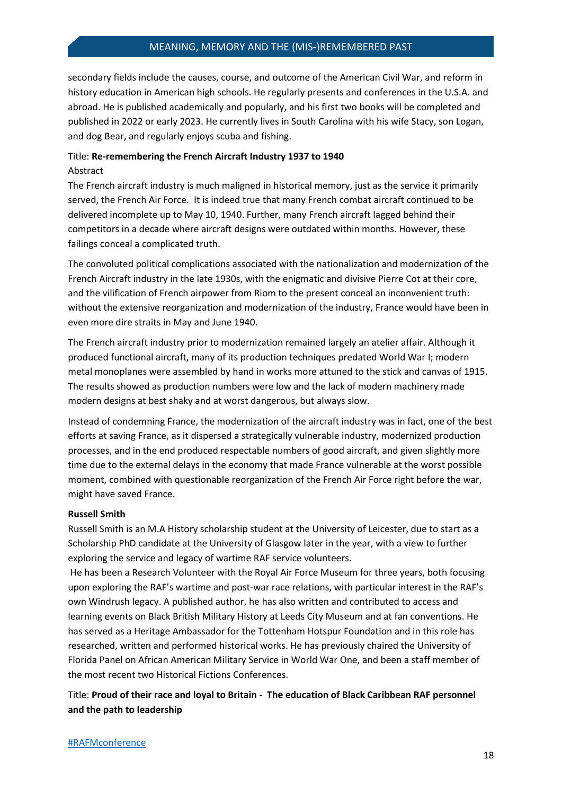secondary fields include the causes, course, and outcome of the American Civil War, and reform in history education in American high schools. He regularly presents and conferences in the U.S.A. and abroad. He is published academically and popularly, and his first two books will be completed and published in 2022 or early 2023. He currently lives in South Carolina with his wife Stacy, son Logan, and dog Bear, and regularly enjoys scuba and fishing.

## Title: **Re-remembering the French Aircraft Industry 1937 to 1940** Abstract

The French aircraft industry is much maligned in historical memory, just as the service it primarily served, the French Air Force. It is indeed true that many French combat aircraft continued to be delivered incomplete up to May 10, 1940. Further, many French aircraft lagged behind their competitors in a decade where aircraft designs were outdated within months. However, these failings conceal a complicated truth.

The convoluted political complications associated with the nationalization and modernization of the French Aircraft industry in the late 1930s, with the enigmatic and divisive Pierre Cot at their core, and the vilification of French airpower from Riom to the present conceal an inconvenient truth: without the extensive reorganization and modernization of the industry, France would have been in even more dire straits in May and June 1940.

The French aircraft industry prior to modernization remained largely an atelier affair. Although it produced functional aircraft, many of its production techniques predated World War I; modern metal monoplanes were assembled by hand in works more attuned to the stick and canvas of 1915. The results showed as production numbers were low and the lack of modern machinery made modern designs at best shaky and at worst dangerous, but always slow.

Instead of condemning France, the modernization of the aircraft industry was in fact, one of the best efforts at saving France, as it dispersed a strategically vulnerable industry, modernized production processes, and in the end produced respectable numbers of good aircraft, and given slightly more time due to the external delays in the economy that made France vulnerable at the worst possible moment, combined with questionable reorganization of the French Air Force right before the war, might have saved France.

## **Russell Smith**

Russell Smith is an M.A History scholarship student at the University of Leicester, due to start as a Scholarship PhD candidate at the University of Glasgow later in the year, with a view to further exploring the service and legacy of wartime RAF service volunteers.

He has been a Research Volunteer with the Royal Air Force Museum for three years, both focusing upon exploring the RAF's wartime and post-war race relations, with particular interest in the RAF's own Windrush legacy. A published author, he has also written and contributed to access and learning events on Black British Military History at Leeds City Museum and at fan conventions. He has served as a Heritage Ambassador for the Tottenham Hotspur Foundation and in this role has researched, written and performed historical works. He has previously chaired the University of Florida Panel on African American Military Service in World War One, and been a staff member of the most recent two Historical Fictions Conferences.

Title: **Proud of their race and loyal to Britain - The education of Black Caribbean RAF personnel and the path to leadership**

#### [#RAFMconference](https://twitter.com/hashtag/RAFMconference?f=live)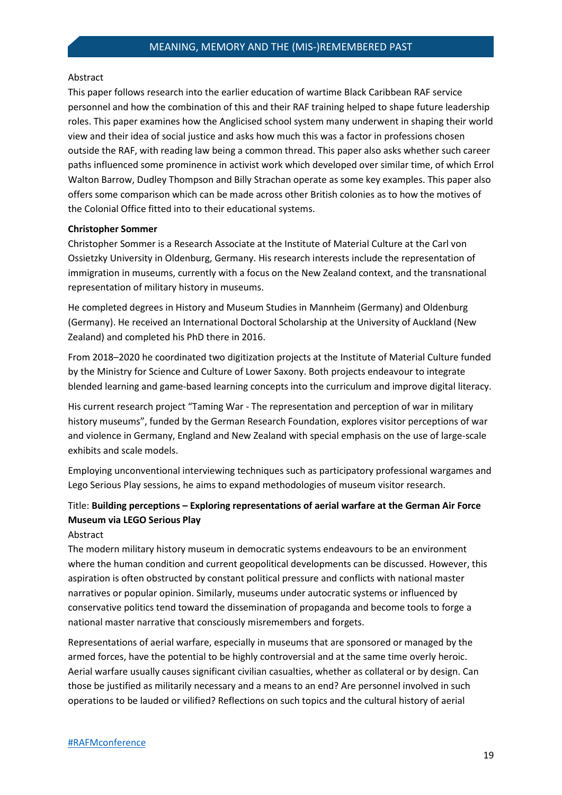#### Abstract

This paper follows research into the earlier education of wartime Black Caribbean RAF service personnel and how the combination of this and their RAF training helped to shape future leadership roles. This paper examines how the Anglicised school system many underwent in shaping their world view and their idea of social justice and asks how much this was a factor in professions chosen outside the RAF, with reading law being a common thread. This paper also asks whether such career paths influenced some prominence in activist work which developed over similar time, of which Errol Walton Barrow, Dudley Thompson and Billy Strachan operate as some key examples. This paper also offers some comparison which can be made across other British colonies as to how the motives of the Colonial Office fitted into to their educational systems.

#### **Christopher Sommer**

Christopher Sommer is a Research Associate at the Institute of Material Culture at the Carl von Ossietzky University in Oldenburg, Germany. His research interests include the representation of immigration in museums, currently with a focus on the New Zealand context, and the transnational representation of military history in museums.

He completed degrees in History and Museum Studies in Mannheim (Germany) and Oldenburg (Germany). He received an International Doctoral Scholarship at the University of Auckland (New Zealand) and completed his PhD there in 2016.

From 2018–2020 he coordinated two digitization projects at the Institute of Material Culture funded by the Ministry for Science and Culture of Lower Saxony. Both projects endeavour to integrate blended learning and game-based learning concepts into the curriculum and improve digital literacy.

His current research project "Taming War - The representation and perception of war in military history museums", funded by the German Research Foundation, explores visitor perceptions of war and violence in Germany, England and New Zealand with special emphasis on the use of large-scale exhibits and scale models.

Employing unconventional interviewing techniques such as participatory professional wargames and Lego Serious Play sessions, he aims to expand methodologies of museum visitor research.

# Title: **Building perceptions – Exploring representations of aerial warfare at the German Air Force Museum via LEGO Serious Play**

## Abstract

The modern military history museum in democratic systems endeavours to be an environment where the human condition and current geopolitical developments can be discussed. However, this aspiration is often obstructed by constant political pressure and conflicts with national master narratives or popular opinion. Similarly, museums under autocratic systems or influenced by conservative politics tend toward the dissemination of propaganda and become tools to forge a national master narrative that consciously misremembers and forgets.

Representations of aerial warfare, especially in museums that are sponsored or managed by the armed forces, have the potential to be highly controversial and at the same time overly heroic. Aerial warfare usually causes significant civilian casualties, whether as collateral or by design. Can those be justified as militarily necessary and a means to an end? Are personnel involved in such operations to be lauded or vilified? Reflections on such topics and the cultural history of aerial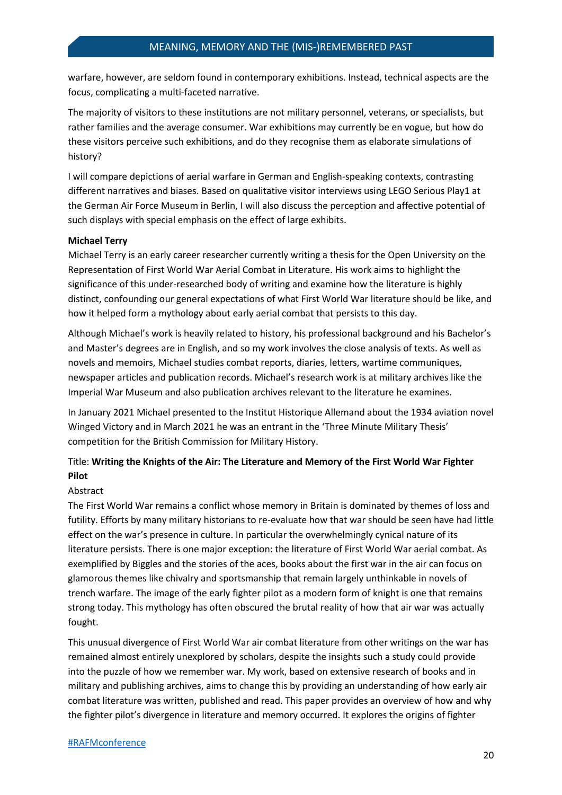warfare, however, are seldom found in contemporary exhibitions. Instead, technical aspects are the focus, complicating a multi-faceted narrative.

The majority of visitors to these institutions are not military personnel, veterans, or specialists, but rather families and the average consumer. War exhibitions may currently be en vogue, but how do these visitors perceive such exhibitions, and do they recognise them as elaborate simulations of history?

I will compare depictions of aerial warfare in German and English-speaking contexts, contrasting different narratives and biases. Based on qualitative visitor interviews using LEGO Serious Play1 at the German Air Force Museum in Berlin, I will also discuss the perception and affective potential of such displays with special emphasis on the effect of large exhibits.

#### **Michael Terry**

Michael Terry is an early career researcher currently writing a thesis for the Open University on the Representation of First World War Aerial Combat in Literature. His work aims to highlight the significance of this under-researched body of writing and examine how the literature is highly distinct, confounding our general expectations of what First World War literature should be like, and how it helped form a mythology about early aerial combat that persists to this day.

Although Michael's work is heavily related to history, his professional background and his Bachelor's and Master's degrees are in English, and so my work involves the close analysis of texts. As well as novels and memoirs, Michael studies combat reports, diaries, letters, wartime communiques, newspaper articles and publication records. Michael's research work is at military archives like the Imperial War Museum and also publication archives relevant to the literature he examines.

In January 2021 Michael presented to the Institut Historique Allemand about the 1934 aviation novel Winged Victory and in March 2021 he was an entrant in the 'Three Minute Military Thesis' competition for the British Commission for Military History.

# Title: **Writing the Knights of the Air: The Literature and Memory of the First World War Fighter Pilot**

## Abstract

The First World War remains a conflict whose memory in Britain is dominated by themes of loss and futility. Efforts by many military historians to re-evaluate how that war should be seen have had little effect on the war's presence in culture. In particular the overwhelmingly cynical nature of its literature persists. There is one major exception: the literature of First World War aerial combat. As exemplified by Biggles and the stories of the aces, books about the first war in the air can focus on glamorous themes like chivalry and sportsmanship that remain largely unthinkable in novels of trench warfare. The image of the early fighter pilot as a modern form of knight is one that remains strong today. This mythology has often obscured the brutal reality of how that air war was actually fought.

This unusual divergence of First World War air combat literature from other writings on the war has remained almost entirely unexplored by scholars, despite the insights such a study could provide into the puzzle of how we remember war. My work, based on extensive research of books and in military and publishing archives, aims to change this by providing an understanding of how early air combat literature was written, published and read. This paper provides an overview of how and why the fighter pilot's divergence in literature and memory occurred. It explores the origins of fighter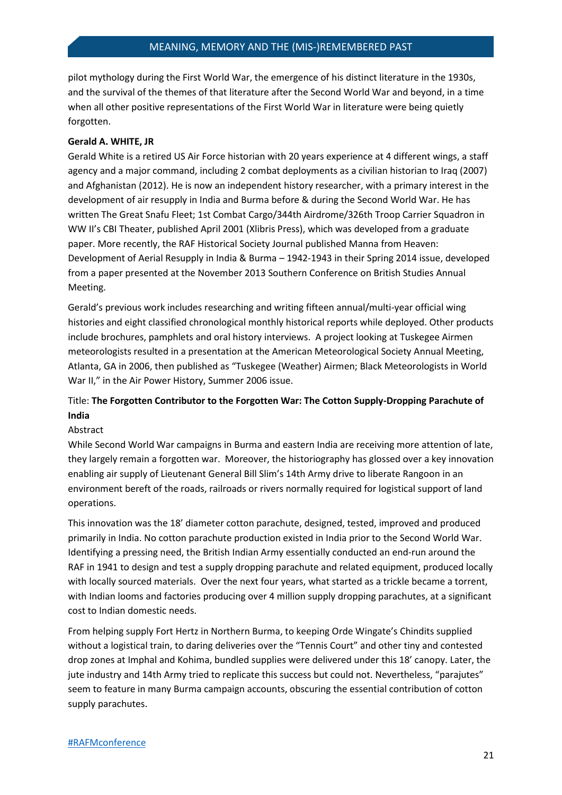pilot mythology during the First World War, the emergence of his distinct literature in the 1930s, and the survival of the themes of that literature after the Second World War and beyond, in a time when all other positive representations of the First World War in literature were being quietly forgotten.

#### **Gerald A. WHITE, JR**

Gerald White is a retired US Air Force historian with 20 years experience at 4 different wings, a staff agency and a major command, including 2 combat deployments as a civilian historian to Iraq (2007) and Afghanistan (2012). He is now an independent history researcher, with a primary interest in the development of air resupply in India and Burma before & during the Second World War. He has written The Great Snafu Fleet; 1st Combat Cargo/344th Airdrome/326th Troop Carrier Squadron in WW II's CBI Theater, published April 2001 (Xlibris Press), which was developed from a graduate paper. More recently, the RAF Historical Society Journal published Manna from Heaven: Development of Aerial Resupply in India & Burma – 1942-1943 in their Spring 2014 issue, developed from a paper presented at the November 2013 Southern Conference on British Studies Annual Meeting.

Gerald's previous work includes researching and writing fifteen annual/multi-year official wing histories and eight classified chronological monthly historical reports while deployed. Other products include brochures, pamphlets and oral history interviews. A project looking at Tuskegee Airmen meteorologists resulted in a presentation at the American Meteorological Society Annual Meeting, Atlanta, GA in 2006, then published as "Tuskegee (Weather) Airmen; Black Meteorologists in World War II," in the Air Power History, Summer 2006 issue.

# Title: **The Forgotten Contributor to the Forgotten War: The Cotton Supply-Dropping Parachute of India**

#### Abstract

While Second World War campaigns in Burma and eastern India are receiving more attention of late, they largely remain a forgotten war. Moreover, the historiography has glossed over a key innovation enabling air supply of Lieutenant General Bill Slim's 14th Army drive to liberate Rangoon in an environment bereft of the roads, railroads or rivers normally required for logistical support of land operations.

This innovation was the 18' diameter cotton parachute, designed, tested, improved and produced primarily in India. No cotton parachute production existed in India prior to the Second World War. Identifying a pressing need, the British Indian Army essentially conducted an end-run around the RAF in 1941 to design and test a supply dropping parachute and related equipment, produced locally with locally sourced materials. Over the next four years, what started as a trickle became a torrent, with Indian looms and factories producing over 4 million supply dropping parachutes, at a significant cost to Indian domestic needs.

From helping supply Fort Hertz in Northern Burma, to keeping Orde Wingate's Chindits supplied without a logistical train, to daring deliveries over the "Tennis Court" and other tiny and contested drop zones at Imphal and Kohima, bundled supplies were delivered under this 18' canopy. Later, the jute industry and 14th Army tried to replicate this success but could not. Nevertheless, "parajutes" seem to feature in many Burma campaign accounts, obscuring the essential contribution of cotton supply parachutes.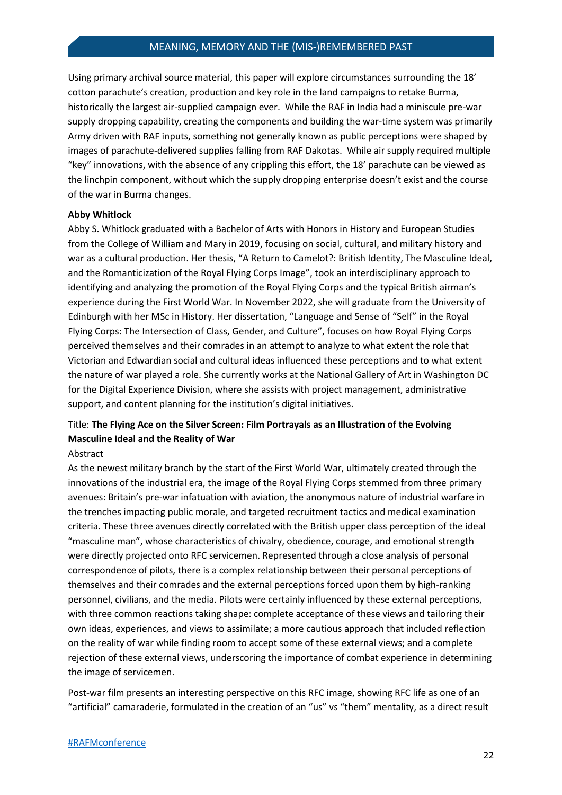Using primary archival source material, this paper will explore circumstances surrounding the 18' cotton parachute's creation, production and key role in the land campaigns to retake Burma, historically the largest air-supplied campaign ever. While the RAF in India had a miniscule pre-war supply dropping capability, creating the components and building the war-time system was primarily Army driven with RAF inputs, something not generally known as public perceptions were shaped by images of parachute-delivered supplies falling from RAF Dakotas. While air supply required multiple "key" innovations, with the absence of any crippling this effort, the 18' parachute can be viewed as the linchpin component, without which the supply dropping enterprise doesn't exist and the course of the war in Burma changes.

#### **Abby Whitlock**

Abby S. Whitlock graduated with a Bachelor of Arts with Honors in History and European Studies from the College of William and Mary in 2019, focusing on social, cultural, and military history and war as a cultural production. Her thesis, "A Return to Camelot?: British Identity, The Masculine Ideal, and the Romanticization of the Royal Flying Corps Image", took an interdisciplinary approach to identifying and analyzing the promotion of the Royal Flying Corps and the typical British airman's experience during the First World War. In November 2022, she will graduate from the University of Edinburgh with her MSc in History. Her dissertation, "Language and Sense of "Self" in the Royal Flying Corps: The Intersection of Class, Gender, and Culture", focuses on how Royal Flying Corps perceived themselves and their comrades in an attempt to analyze to what extent the role that Victorian and Edwardian social and cultural ideas influenced these perceptions and to what extent the nature of war played a role. She currently works at the National Gallery of Art in Washington DC for the Digital Experience Division, where she assists with project management, administrative support, and content planning for the institution's digital initiatives.

# Title: **The Flying Ace on the Silver Screen: Film Portrayals as an Illustration of the Evolving Masculine Ideal and the Reality of War**

#### Abstract

As the newest military branch by the start of the First World War, ultimately created through the innovations of the industrial era, the image of the Royal Flying Corps stemmed from three primary avenues: Britain's pre-war infatuation with aviation, the anonymous nature of industrial warfare in the trenches impacting public morale, and targeted recruitment tactics and medical examination criteria. These three avenues directly correlated with the British upper class perception of the ideal "masculine man", whose characteristics of chivalry, obedience, courage, and emotional strength were directly projected onto RFC servicemen. Represented through a close analysis of personal correspondence of pilots, there is a complex relationship between their personal perceptions of themselves and their comrades and the external perceptions forced upon them by high-ranking personnel, civilians, and the media. Pilots were certainly influenced by these external perceptions, with three common reactions taking shape: complete acceptance of these views and tailoring their own ideas, experiences, and views to assimilate; a more cautious approach that included reflection on the reality of war while finding room to accept some of these external views; and a complete rejection of these external views, underscoring the importance of combat experience in determining the image of servicemen.

Post-war film presents an interesting perspective on this RFC image, showing RFC life as one of an "artificial" camaraderie, formulated in the creation of an "us" vs "them" mentality, as a direct result